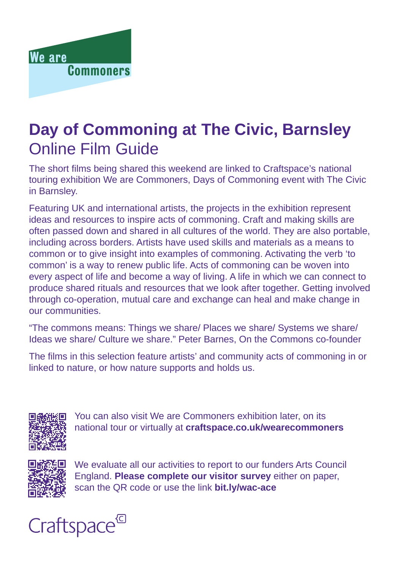

# **Day of Commoning at The Civic, Barnsley** Online Film Guide

The short films being shared this weekend are linked to Craftspace's national touring exhibition We are Commoners, Days of Commoning event with The Civic in Barnsley.

Featuring UK and international artists, the projects in the exhibition represent ideas and resources to inspire acts of commoning. Craft and making skills are often passed down and shared in all cultures of the world. They are also portable, including across borders. Artists have used skills and materials as a means to common or to give insight into examples of commoning. Activating the verb 'to common' is a way to renew public life. Acts of commoning can be woven into every aspect of life and become a way of living. A life in which we can connect to produce shared rituals and resources that we look after together. Getting involved through co-operation, mutual care and exchange can heal and make change in our communities.

"The commons means: Things we share/ Places we share/ Systems we share/ Ideas we share/ Culture we share." Peter Barnes, On the Commons co-founder

The films in this selection feature artists' and community acts of commoning in or linked to nature, or how nature supports and holds us.



You can also visit We are Commoners exhibition later, on its national tour or virtually at **craftspace.co.uk/wearecommoners**



We evaluate all our activities to report to our funders Arts Council England. **Please complete our visitor survey** either on paper, scan the QR code or use the link **bit.ly/wac-ace**

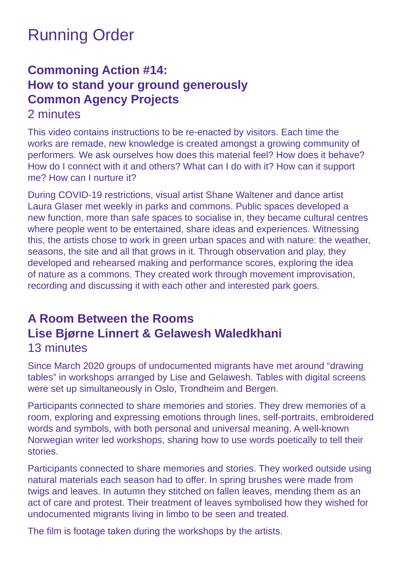# Running Order

### **Commoning Action #14: How to stand your ground generously Common Agency Projects**

#### 2 minutes

This video contains instructions to be re-enacted by visitors. Each time the works are remade, new knowledge is created amongst a growing community of performers. We ask ourselves how does this material feel? How does it behave? How do I connect with it and others? What can I do with it? How can it support me? How can I nurture it?

During COVID-19 restrictions, visual artist Shane Waltener and dance artist Laura Glaser met weekly in parks and commons. Public spaces developed a new function, more than safe spaces to socialise in, they became cultural centres where people went to be entertained, share ideas and experiences. Witnessing this, the artists chose to work in green urban spaces and with nature: the weather, seasons, the site and all that grows in it. Through observation and play, they developed and rehearsed making and performance scores, exploring the idea of nature as a commons. They created work through movement improvisation, recording and discussing it with each other and interested park goers.

#### **A Room Between the Rooms Lise Bjørne Linnert & Gelawesh Waledkhani**  13 minutes

Since March 2020 groups of undocumented migrants have met around "drawing tables" in workshops arranged by Lise and Gelawesh. Tables with digital screens were set up simultaneously in Oslo, Trondheim and Bergen.

Participants connected to share memories and stories. They drew memories of a room, exploring and expressing emotions through lines, self-portraits, embroidered words and symbols, with both personal and universal meaning. A well-known Norwegian writer led workshops, sharing how to use words poetically to tell their stories.

Participants connected to share memories and stories. They worked outside using natural materials each season had to offer. In spring brushes were made from twigs and leaves. In autumn they stitched on fallen leaves, mending them as an act of care and protest. Their treatment of leaves symbolised how they wished for undocumented migrants living in limbo to be seen and treated.

The film is footage taken during the workshops by the artists.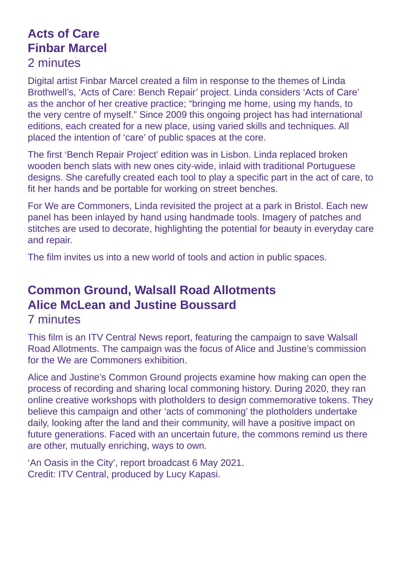## **Acts of Care Finbar Marcel**

#### 2 minutes

Digital artist Finbar Marcel created a film in response to the themes of Linda Brothwell's, 'Acts of Care: Bench Repair' project. Linda considers 'Acts of Care' as the anchor of her creative practice; "bringing me home, using my hands, to the very centre of myself." Since 2009 this ongoing project has had international editions, each created for a new place, using varied skills and techniques. All placed the intention of 'care' of public spaces at the core.

The first 'Bench Repair Project' edition was in Lisbon. Linda replaced broken wooden bench slats with new ones city-wide, inlaid with traditional Portuguese designs. She carefully created each tool to play a specific part in the act of care, to fit her hands and be portable for working on street benches.

For We are Commoners, Linda revisited the project at a park in Bristol. Each new panel has been inlayed by hand using handmade tools. Imagery of patches and stitches are used to decorate, highlighting the potential for beauty in everyday care and repair.

The film invites us into a new world of tools and action in public spaces.

## **Common Ground, Walsall Road Allotments Alice McLean and Justine Boussard**

#### 7 minutes

This film is an ITV Central News report, featuring the campaign to save Walsall Road Allotments. The campaign was the focus of Alice and Justine's commission for the We are Commoners exhibition.

Alice and Justine's Common Ground projects examine how making can open the process of recording and sharing local commoning history. During 2020, they ran online creative workshops with plotholders to design commemorative tokens. They believe this campaign and other 'acts of commoning' the plotholders undertake daily, looking after the land and their community, will have a positive impact on future generations. Faced with an uncertain future, the commons remind us there are other, mutually enriching, ways to own.

'An Oasis in the City', report broadcast 6 May 2021. Credit: ITV Central, produced by Lucy Kapasi.